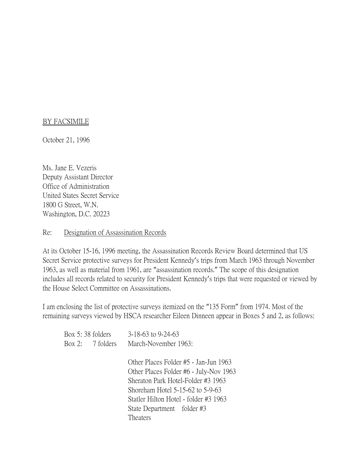## BY FACSIMILE

October 21, 1996

Ms. Jane E. Vezeris Deputy Assistant Director Office of Administration United States Secret Service 1800 G Street, W.N. Washington, D.C. 20223

## Re: Designation of Assassination Records

At its October 15-16, 1996 meeting, the Assassination Records Review Board determined that US Secret Service protective surveys for President Kennedy's trips from March 1963 through November 1963, as well as material from 1961, are "assassination records." The scope of this designation includes all records related to security for President Kennedy's trips that were requested or viewed by the House Select Committee on Assassinations.

I am enclosing the list of protective surveys itemized on the "135 Form" from 1974. Most of the remaining surveys viewed by HSCA researcher Eileen Dinneen appear in Boxes 5 and 2, as follows:

| Box 5:38 folders | $3-18-63$ to $9-24-63$                 |
|------------------|----------------------------------------|
| Box 2: 7 folders | March-November 1963:                   |
|                  |                                        |
|                  | Other Places Folder #5 - Jan-Jun 1963  |
|                  | Other Places Folder #6 - July-Nov 1963 |
|                  | Sheraton Park Hotel-Folder #3 1963     |
|                  | Shoreham Hotel 5-15-62 to 5-9-63       |
|                  | Statler Hilton Hotel - folder #3 1963  |
|                  | State Department folder #3             |
|                  | Theaters                               |
|                  |                                        |